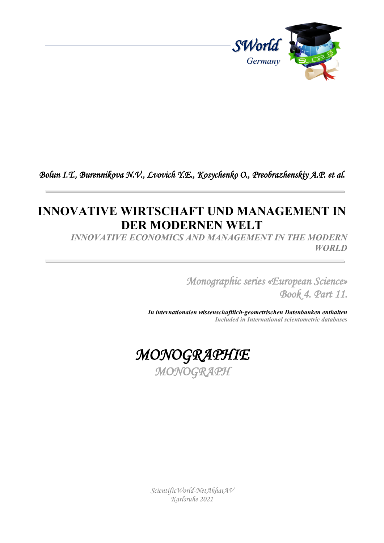

## *Bolun I.T., Burennikova N.V., Lvovich Y.E., Kosychenko O., Preobrazhenskiy A.P. et al.*

## **INNOVATIVE WIRTSCHAFT UND MANAGEMENT IN DER MODERNEN WELT**

*INNOVATIVE ECONOMICS AND MANAGEMENT IN THE MODERN WORLD*

> *Monographic series «European Science» Book 4. Part 11.*

*In internationalen wissenschaftlich-geometrischen Datenbanken enthalten Included in International scientometric databases*



*ScientificWorld-NetAkhatAV Karlsruhe 2021*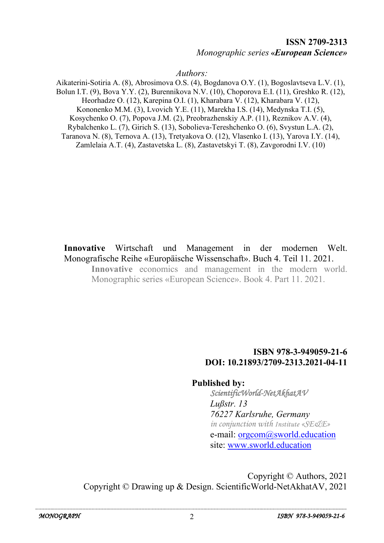## **ISSN 2709-2313** *Monographic series* **«***European Science»*

*Authors:*

Aikaterini-Sotiria A. (8), Abrosimova O.S. (4), Bogdanova O.Y. (1), Bogoslavtseva L.V. (1), Bolun I.T. (9), Bova Y.Y. (2), Burennikova N.V. (10), Choporova E.I. (11), Greshko R. (12), Heorhadze O. (12), Karepina O.I. (1), Kharabara V. (12), Kharabara V. (12), Kononenko M.M. (3), Lvovich Y.E. (11), Marekha I.S. (14), Medynska T.I. (5), Kosychenko O. (7), Popova J.M. (2), Preobrazhenskiy A.P. (11), Reznikov A.V. (4), Rybalchenko L. (7), Girich S. (13), Sobolieva-Tereshchenko O. (6), Svystun L.A. (2), Taranova N. (8), Ternova A. (13), Tretyakova O. (12), Vlasenko I. (13), Yarova I.Y. (14), Zamlelaia A.T. (4), Zastavetska L. (8), Zastavetskyi T. (8), Zavgorodni I.V. (10)

**Innovative** Wirtschaft und Management in der modernen Welt. Monografische Reihe «Europäische Wissenschaft». Buch 4. Teil 11. 2021. **Innovative** economics and management in the modern world.

Monographic series «European Science». Book 4. Part 11. 2021.

## **ISBN 978-3-949059-21-6 DOI: 10.21893/2709-2313.2021-04-11**

**Published by:**

*ScientificWorld-NetAkhatAV Lußstr. 13 76227 Karlsruhe, Germany in conjunction with Institute «SE&E»* e-mail: [orgcom@sworld.education](mailto:orgcom@sworld.education) site: [www.sworld.education](http://www.sworld.education/)

Copyright © Authors, 2021 Copyright © Drawing up & Design. ScientificWorld-NetAkhatAV, 2021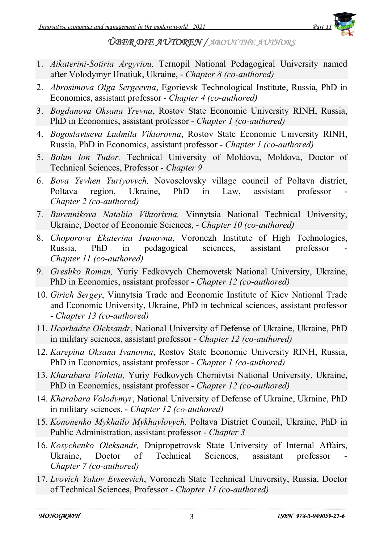

*ÜBER DIE AUTOREN / ABOUT THE AUTHORS* 

- 1. *Aikaterini-Sotiria Argyriou,* Ternopil National Pedagogical University named after Volodymyr Hnatiuk, Ukraine, - *Chapter 8 (co-authored)*
- 2. *Abrosimova Olga Sergeevna*, Egorievsk Technological Institute, Russia, PhD in Economics, assistant professor - *Chapter 4 (co-authored)*
- 3. *Bogdanova Oksana Yrevna*, Rostov State Economic University RINH, Russia, PhD in Economics, assistant professor - *Chapter 1 (co-authored)*
- 4. *Bogoslavtseva Ludmila Viktorovna*, Rostov State Economic University RINH, Russia, PhD in Economics, assistant professor - *Chapter 1 (co-authored)*
- 5. *Bolun Ion Tudor,* Technical University of Moldova, Moldova, Doctor of Technical Sciences, Professor - *Chapter 9*
- 6. *Bova Yevhen Yuriyovych,* Novoselovsky village council of Poltava district, Poltava region, Ukraine, PhD in Law, assistant professor - *Chapter 2 (co-authored)*
- 7. *Burennikova Nataliia Viktorivna,* Vinnytsia National Technical University, Ukraine, Doctor of Economic Sciences, - *Chapter 10 (co-authored)*
- 8. *Choporova Ekaterina Ivanovna*, Voronezh Institute of High Technologies, Russia, PhD in pedagogical sciences, assistant professor *Chapter 11 (co-authored)*
- 9. *Greshko Roman,* Yuriy Fedkovych Chernovetsk National University, Ukraine, PhD in Economics, assistant professor - *Chapter 12 (co-authored)*
- 10. *Girich Sergey*, Vinnytsia Trade and Economic Institute of Kiev National Trade and Economic University, Ukraine, PhD in technical sciences, assistant professor - *Chapter 13 (co-authored)*
- 11. *Heorhadze Oleksandr*, National University of Defense of Ukraine, Ukraine, PhD in military sciences, assistant professor - *Chapter 12 (co-authored)*
- 12. *Karepina Oksana Ivanovna*, Rostov State Economic University RINH, Russia, PhD in Economics, assistant professor - *Chapter 1 (co-authored)*
- 13. *Kharabara Violetta,* Yuriy Fedkovych Chernivtsi National University, Ukraine, PhD in Economics, assistant professor - *Chapter 12 (co-authored)*
- 14. *Kharabara Volodymyr*, National University of Defense of Ukraine, Ukraine, PhD in military sciences, - *Chapter 12 (co-authored)*
- 15. *Kononenko Mykhailo Mykhaylovych,* Poltava District Council, Ukraine, PhD in Public Administration, assistant professor - *Chapter 3*
- 16. *Kosychenko Oleksandr,* Dnipropetrovsk State University of Internal Affairs, Ukraine, Doctor of Technical Sciences, assistant professor *Chapter 7 (co-authored)*
- 17. *Lvovich Yakov Evseevich*, Voronezh State Technical University, Russia, Doctor of Technical Sciences, Professor - *Chapter 11 (co-authored)*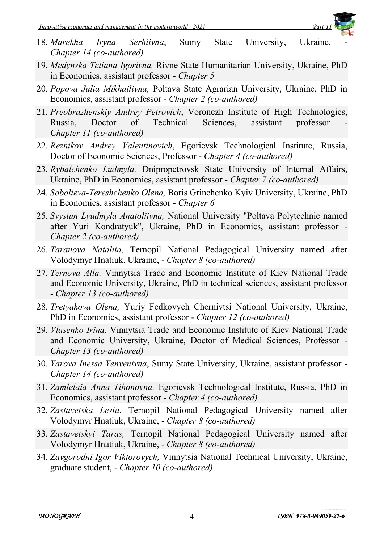

- 18. Marekha Iryna Serhiivna, Sumy State University, Ukraine, *Chapter 14 (co-authored)*
- 19. *Medynska Tetiana Igorivna,* Rivne State Humanitarian University, Ukraine, PhD in Economics, assistant professor - *Chapter 5*
- 20. *Popova Julia Mikhailіvna,* Poltava State Agrarian University, Ukraine, PhD in Economics, assistant professor - *Chapter 2 (co-authored)*
- 21. *Preobrazhenskiy Andrey Petrovich*, Voronezh Institute of High Technologies, Russia, Doctor of Technical Sciences, assistant professor *Chapter 11 (co-authored)*
- 22. *Reznikov Andrey Valentinovich*, Egorievsk Technological Institute, Russia, Doctor of Economic Sciences, Professor - *Chapter 4 (co-authored)*
- 23. *Rybalchenko Ludmyla,* Dnipropetrovsk State University of Internal Affairs, Ukraine, PhD in Economics, assistant professor - *Chapter 7 (co-authored)*
- 24. *Sobolieva-Tereshchenko Olena,* Boris Grinchenko Kyiv University, Ukraine, PhD in Economics, assistant professor - *Chapter 6*
- 25. *Svystun Lyudmyla Anatoliivna,* National University "Poltava Polytechnic named after Yuri Kondratyuk", Ukraine, PhD in Economics, assistant professor - *Chapter 2 (co-authored)*
- 26. *Taranova Nataliia,* Ternopil National Pedagogical University named after Volodymyr Hnatiuk, Ukraine, - *Chapter 8 (co-authored)*
- 27. *Ternova Alla,* Vinnytsia Trade and Economic Institute of Kiev National Trade and Economic University, Ukraine, PhD in technical sciences, assistant professor - *Chapter 13 (co-authored)*
- 28. *Tretyakova Olena,* Yuriy Fedkovych Chernivtsi National University, Ukraine, PhD in Economics, assistant professor - *Chapter 12 (co-authored)*
- 29. *Vlasenko Irina,* Vinnytsia Trade and Economic Institute of Kiev National Trade and Economic University, Ukraine, Doctor of Medical Sciences, Professor - *Chapter 13 (co-authored)*
- 30. *Yarova Inessa Yenvenivna*, Sumy State University, Ukraine, assistant professor *Chapter 14 (co-authored)*
- 31. *Zamlelaia Anna Tihonovna,* Egorievsk Technological Institute, Russia, PhD in Economics, assistant professor - *Chapter 4 (co-authored)*
- 32. *Zastavetska Lesia*, Ternopil National Pedagogical University named after Volodymyr Hnatiuk, Ukraine, - *Chapter 8 (co-authored)*
- 33. *Zastavetskyi Taras,* Ternopil National Pedagogical University named after Volodymyr Hnatiuk, Ukraine, - *Chapter 8 (co-authored)*
- 34. *Zavgorodni Igor Viktorovych,* Vinnytsia National Technical University, Ukraine, graduate student, - *Chapter 10 (co-authored)*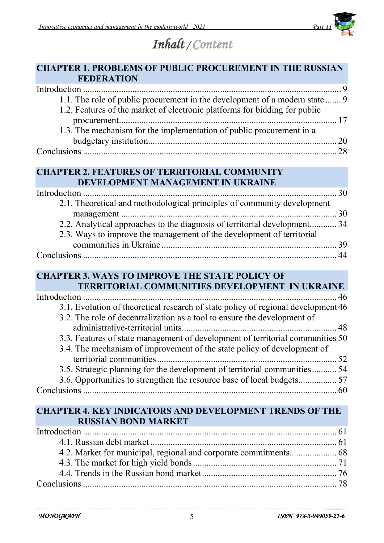

# *Inhalt / Content*

## **CHAPTER 1. PROBLEMS OF PUBLIC PROCUREMENT IN THE RUSSIAN FEDERATION**

| 1.1. The role of public procurement in the development of a modern state  9 |  |
|-----------------------------------------------------------------------------|--|
| 1.2. Features of the market of electronic platforms for bidding for public  |  |
|                                                                             |  |
| 1.3. The mechanism for the implementation of public procurement in a        |  |
|                                                                             |  |
|                                                                             |  |

## **CHAPTER 2. FEATURES OF TERRITORIAL COMMUNITY DEVELOPMENT MANAGEMENT IN UKRAINE**

| 2.1. Theoretical and methodological principles of community development   |  |
|---------------------------------------------------------------------------|--|
|                                                                           |  |
| 2.2. Analytical approaches to the diagnosis of territorial development 34 |  |
| 2.3. Ways to improve the management of the development of territorial     |  |
|                                                                           |  |
|                                                                           |  |

#### **CHAPTER 3. WAYS TO IMPROVE THE STATE POLICY OF TERRITORIAL COMMUNITIES DEVELOPMENT IN UKRAINE**

| TENNITONIAE COMMUNITIES DE VELOI MENT IN UNNAINE                                  |  |
|-----------------------------------------------------------------------------------|--|
|                                                                                   |  |
| 3.1. Evolution of theoretical research of state policy of regional development 46 |  |
| 3.2. The role of decentralization as a tool to ensure the development of          |  |
|                                                                                   |  |
| 3.3. Features of state management of development of territorial communities 50    |  |
| 3.4. The mechanism of improvement of the state policy of development of           |  |
|                                                                                   |  |
| 3.5. Strategic planning for the development of territorial communities 54         |  |
|                                                                                   |  |
|                                                                                   |  |
|                                                                                   |  |

#### **CHAPTER 4. KEY INDICATORS AND DEVELOPMENT TRENDS OF THE RUSSIAN BOND MARKET**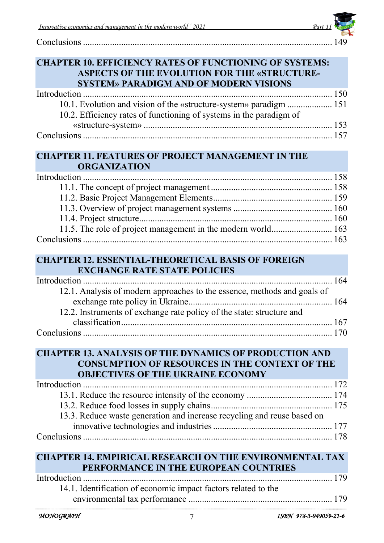| Innovative economics and management in the modern world '2021 | Part. |  |
|---------------------------------------------------------------|-------|--|
| Conclusions                                                   |       |  |

|                     | <b>SYSTEM» PARADIGM AND OF MODERN VISIONS</b>                            |                        |
|---------------------|--------------------------------------------------------------------------|------------------------|
|                     |                                                                          |                        |
|                     | 10.1. Evolution and vision of the «structure-system» paradigm  151       |                        |
|                     | 10.2. Efficiency rates of functioning of systems in the paradigm of      |                        |
|                     |                                                                          |                        |
|                     |                                                                          |                        |
|                     |                                                                          |                        |
|                     | <b>CHAPTER 11. FEATURES OF PROJECT MANAGEMENT IN THE</b>                 |                        |
| <b>ORGANIZATION</b> |                                                                          |                        |
|                     |                                                                          |                        |
|                     |                                                                          |                        |
|                     |                                                                          |                        |
|                     |                                                                          |                        |
|                     |                                                                          |                        |
|                     | 11.5. The role of project management in the modern world 163             |                        |
|                     |                                                                          |                        |
|                     |                                                                          |                        |
|                     | <b>CHAPTER 12. ESSENTIAL-THEORETICAL BASIS OF FOREIGN</b>                |                        |
|                     | <b>EXCHANGE RATE STATE POLICIES</b>                                      |                        |
|                     |                                                                          |                        |
|                     | 12.1. Analysis of modern approaches to the essence, methods and goals of |                        |
|                     |                                                                          |                        |
|                     | 12.2. Instruments of exchange rate policy of the state: structure and    |                        |
|                     |                                                                          |                        |
|                     |                                                                          |                        |
|                     |                                                                          |                        |
|                     | <b>CHAPTER 13. ANALYSIS OF THE DYNAMICS OF PRODUCTION AND</b>            |                        |
|                     | <b>CONSUMPTION OF RESOURCES IN THE CONTEXT OF THE</b>                    |                        |
|                     | <b>OBJECTIVES OF THE UKRAINE ECONOMY</b>                                 |                        |
|                     |                                                                          |                        |
|                     |                                                                          |                        |
|                     |                                                                          |                        |
|                     | 13.3. Reduce waste generation and increase recycling and reuse based on  |                        |
|                     |                                                                          |                        |
|                     |                                                                          |                        |
|                     |                                                                          |                        |
|                     | <b>CHAPTER 14. EMPIRICAL RESEARCH ON THE ENVIRONMENTAL TAX</b>           |                        |
|                     | PERFORMANCE IN THE EUROPEAN COUNTRIES                                    |                        |
|                     |                                                                          |                        |
|                     | 14.1. Identification of economic impact factors related to the           |                        |
|                     |                                                                          |                        |
|                     |                                                                          |                        |
| MONOGRAPH           | 7                                                                        | ISBN 978-3-949059-21-6 |
|                     |                                                                          |                        |
|                     |                                                                          |                        |

**CHAPTER 10. EFFICIENCY RATES OF FUNCTIONING OF SYSTEMS:**

**ASPECTS OF THE EVOLUTION FOR THE «STRUCTURE-**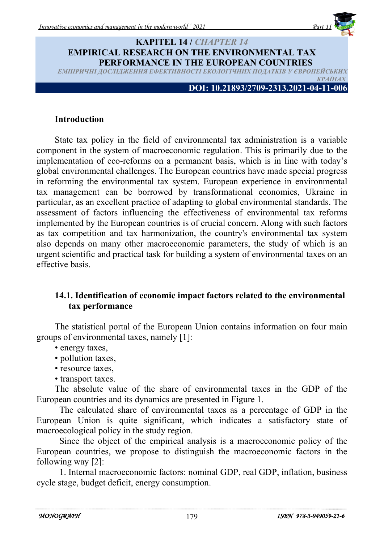

#### **KAPITEL 14 /** *CHAPTER 14* **EMPIRICAL RESEARCH ON THE ENVIRONMENTAL TAX PERFORMANCE IN THE EUROPEAN COUNTRIES** ЕМПІРИЧНІ ДОСЛІДЖЕННЯ ЕФЕКТИВНОСТІ ЕКОЛОГІЧНИХ ПОДАТКІВ У ЄВРОПЕЙСЬК  $KPAI$ **Н**

**DOI: 10.21893/2709-2313.2021-04-11-006**

#### **Introduction**

State tax policy in the field of environmental tax administration is a variable component in the system of macroeconomic regulation. This is primarily due to the implementation of eco-reforms on a permanent basis, which is in line with today's global environmental challenges. The European countries have made special progress in reforming the environmental tax system. European experience in environmental tax management can be borrowed by transformational economies, Ukraine in particular, as an excellent practice of adapting to global environmental standards. The assessment of factors influencing the effectiveness of environmental tax reforms implemented by the European countries is of crucial concern. Along with such factors as tax competition and tax harmonization, the country's environmental tax system also depends on many other macroeconomic parameters, the study of which is an urgent scientific and practical task for building a system of environmental taxes on an effective basis.

#### **14.1. Identification of economic impact factors related to the environmental tax performance**

The statistical portal of the European Union contains information on four main groups of environmental taxes, namely [1]:

- energy taxes,
- pollution taxes,
- resource taxes,
- transport taxes.

The absolute value of the share of environmental taxes in the GDP of the European countries and its dynamics are presented in Figure 1.

The calculated share of environmental taxes as a percentage of GDP in the European Union is quite significant, which indicates a satisfactory state of macroecological policy in the study region.

Since the object of the empirical analysis is a macroeconomic policy of the European countries, we propose to distinguish the macroeconomic factors in the following way [2]:

1. Internal macroeconomic factors: nominal GDP, real GDP, inflation, business cycle stage, budget deficit, energy consumption.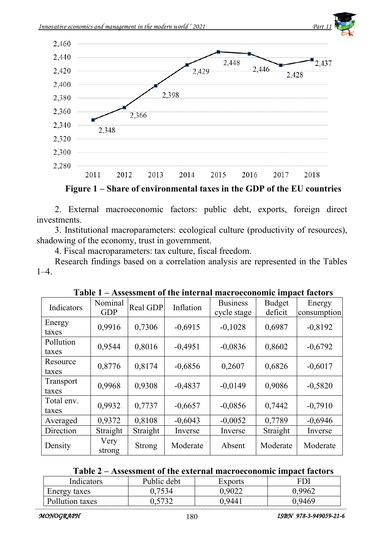





2. External macroeconomic factors: public debt, exports, foreign direct investments.

3. Institutional macroparameters: ecological culture (productivity of resources), shadowing of the economy, trust in government.

4. Fiscal macroparameters: tax culture, fiscal freedom.

Research findings based on a correlation analysis are represented in the Tables  $1-4.$ 

| Indicators          | Nominal<br><b>GDP</b> | Real GDP      | Inflation | <b>Business</b><br>cycle stage | <b>Budget</b><br>deficit | Energy<br>consumption |
|---------------------|-----------------------|---------------|-----------|--------------------------------|--------------------------|-----------------------|
| Energy<br>taxes     | 0,9916                | 0,7306        | $-0,6915$ | $-0.1028$                      | 0,6987                   | $-0,8192$             |
| Pollution<br>taxes  | 0,9544                | 0,8016        | $-0,4951$ | $-0,0836$                      | 0,8602                   | $-0,6792$             |
| Resource<br>taxes   | 0,8776                | 0,8174        | $-0,6856$ | 0,2607                         | 0,6826                   | $-0,6017$             |
| Transport<br>taxes  | 0,9968                | 0,9308        | $-0,4837$ | $-0.0149$                      | 0.9086                   | $-0,5820$             |
| Total env.<br>taxes | 0,9932                | 0,7737        | $-0,6657$ | $-0,0856$                      | 0,7442                   | $-0,7910$             |
| Averaged            | 0,9372                | 0,8108        | $-0,6043$ | $-0,0052$                      | 0,7789                   | $-0,6946$             |
| Direction           | Straight              | Straight      | Inverse   | Inverse                        | Straight                 | Inverse               |
| Density             | Very<br>strong        | <b>Strong</b> | Moderate  | Absent                         | Moderate                 | Moderate              |

#### **Table 2 – Assessment of the external macroeconomic impact factors**

| Indicators      | Public debt | Exports | FDI   |
|-----------------|-------------|---------|-------|
| Energy taxes    | 7534        | 9022    | .9962 |
| Pollution taxes | 5722        | -944    | .9469 |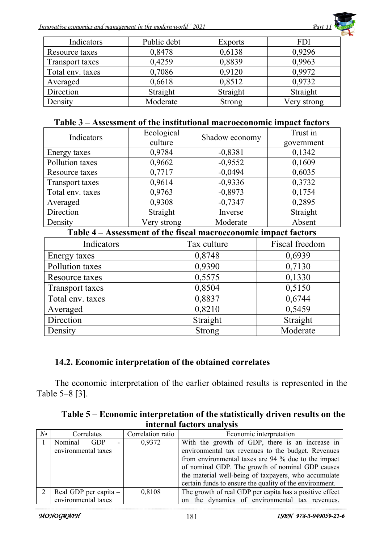

| Indicators       | Public debt | <b>Exports</b> | <b>FDI</b>  |
|------------------|-------------|----------------|-------------|
| Resource taxes   | 0,8478      | 0,6138         | 0,9296      |
| Transport taxes  | 0,4259      | 0,8839         | 0,9963      |
| Total env. taxes | 0,7086      | 0,9120         | 0,9972      |
| Averaged         | 0,6618      | 0,8512         | 0,9732      |
| Direction        | Straight    | Straight       | Straight    |
| Density          | Moderate    | <b>Strong</b>  | Very strong |

#### **Table 3 – Assessment of the institutional macroeconomic impact factors**

| Indicators                                                      | Ecological<br>Shadow economy |           | Trust in |
|-----------------------------------------------------------------|------------------------------|-----------|----------|
|                                                                 | culture                      |           |          |
| Energy taxes                                                    | 0,9784                       | $-0,8381$ | 0,1342   |
| Pollution taxes                                                 | 0,9662                       | $-0,9552$ | 0,1609   |
| Resource taxes                                                  | 0,7717                       | $-0,0494$ | 0,6035   |
| Transport taxes                                                 | 0,9614                       | $-0,9336$ | 0,3732   |
| Total env. taxes                                                | 0,9763                       | $-0,8973$ | 0,1754   |
| Averaged                                                        | 0,9308                       | $-0,7347$ | 0,2895   |
| Direction                                                       | Straight                     | Inverse   | Straight |
| Density                                                         | Very strong                  | Moderate  | Absent   |
| Table 4 – Assessment of the fiscal macroeconomic impact factors |                              |           |          |

#### **Table 4 – Assessment of the fiscal macroeconomic impact factors**

| Indicators       | Tax culture   | Fiscal freedom |
|------------------|---------------|----------------|
| Energy taxes     | 0,8748        | 0,6939         |
| Pollution taxes  | 0,9390        | 0,7130         |
| Resource taxes   | 0,5575        | 0,1330         |
| Transport taxes  | 0,8504        | 0,5150         |
| Total env. taxes | 0,8837        | 0,6744         |
| Averaged         | 0,8210        | 0,5459         |
| Direction        | Straight      | Straight       |
| Density          | <b>Strong</b> | Moderate       |

## **14.2. Economic interpretation of the obtained correlates**

The economic interpretation of the earlier obtained results is represented in the Table 5–8 [3].

| Table 5 – Economic interpretation of the statistically driven results on the |  |
|------------------------------------------------------------------------------|--|
| internal factors analysis                                                    |  |

| $N_2$ | Correlates                              | Correlation ratio | Economic interpretation                                 |  |
|-------|-----------------------------------------|-------------------|---------------------------------------------------------|--|
|       | Nominal<br><b>GDP</b><br>$\overline{a}$ | 0,9372            | With the growth of GDP, there is an increase in         |  |
|       | environmental taxes                     |                   | environmental tax revenues to the budget. Revenues      |  |
|       |                                         |                   | from environmental taxes are 94 % due to the impact     |  |
|       |                                         |                   | of nominal GDP. The growth of nominal GDP causes        |  |
|       |                                         |                   | the material well-being of taxpayers, who accumulate    |  |
|       |                                         |                   | certain funds to ensure the quality of the environment. |  |
|       | Real GDP per capita –                   | 0,8108            | The growth of real GDP per capita has a positive effect |  |
|       | environmental taxes                     |                   | on the dynamics of environmental tax revenues.          |  |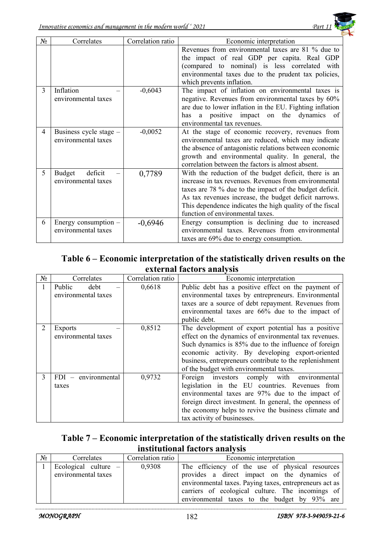

| $N_2$ | Correlates                                    | Correlation ratio | Economic interpretation                                                                                                                                                                                                                                                                                                            |
|-------|-----------------------------------------------|-------------------|------------------------------------------------------------------------------------------------------------------------------------------------------------------------------------------------------------------------------------------------------------------------------------------------------------------------------------|
|       |                                               |                   | Revenues from environmental taxes are 81 % due to<br>the impact of real GDP per capita. Real GDP<br>(compared to nominal) is less correlated with<br>environmental taxes due to the prudent tax policies,<br>which prevents inflation.                                                                                             |
| 3     | Inflation<br>environmental taxes              | $-0,6043$         | The impact of inflation on environmental taxes is<br>negative. Revenues from environmental taxes by 60%<br>are due to lower inflation in the EU. Fighting inflation<br>positive impact on<br>the dynamics<br>- of<br>has<br>a<br>environmental tax revenues.                                                                       |
| 4     | Business cycle stage -<br>environmental taxes | $-0,0052$         | At the stage of economic recovery, revenues from<br>environmental taxes are reduced, which may indicate<br>the absence of antagonistic relations between economic<br>growth and environmental quality. In general, the<br>correlation between the factors is almost absent.                                                        |
| 5     | deficit<br>Budget<br>environmental taxes      | 0,7789            | With the reduction of the budget deficit, there is an<br>increase in tax revenues. Revenues from environmental<br>taxes are 78 % due to the impact of the budget deficit.<br>As tax revenues increase, the budget deficit narrows.<br>This dependence indicates the high quality of the fiscal<br>function of environmental taxes. |
| 6     | Energy consumption -<br>environmental taxes   | $-0,6946$         | Energy consumption is declining due to increased<br>environmental taxes. Revenues from environmental<br>taxes are 69% due to energy consumption.                                                                                                                                                                                   |

## **Table 6 – Economic interpretation of the statistically driven results on the external factors analysis**

| $N_2$ | Correlates               | Correlation ratio | Economic interpretation                                 |
|-------|--------------------------|-------------------|---------------------------------------------------------|
|       | Public<br>debt           | 0,6618            | Public debt has a positive effect on the payment of     |
|       | environmental taxes      |                   | environmental taxes by entrepreneurs. Environmental     |
|       |                          |                   | taxes are a source of debt repayment. Revenues from     |
|       |                          |                   | environmental taxes are 66% due to the impact of        |
|       |                          |                   | public debt.                                            |
| 2     | <b>Exports</b>           | 0,8512            | The development of export potential has a positive      |
|       | environmental taxes      |                   | effect on the dynamics of environmental tax revenues.   |
|       |                          |                   | Such dynamics is 85% due to the influence of foreign    |
|       |                          |                   | economic activity. By developing export-oriented        |
|       |                          |                   | business, entrepreneurs contribute to the replenishment |
|       |                          |                   | of the budget with environmental taxes.                 |
| 3     | environmental<br>$FDI =$ | 0,9732            | environmental<br>Foreign investors comply with          |
|       | taxes                    |                   | legislation in the EU countries. Revenues from          |
|       |                          |                   | environmental taxes are 97% due to the impact of        |
|       |                          |                   | foreign direct investment. In general, the openness of  |
|       |                          |                   | the economy helps to revive the business climate and    |
|       |                          |                   | tax activity of businesses.                             |

## **Table 7 – Economic interpretation of the statistically driven results on the institutional factors analysis**

| $N_2$ | Correlates             | Correlation ratio | Economic interpretation                                 |
|-------|------------------------|-------------------|---------------------------------------------------------|
|       | Ecological culture $-$ | 0,9308            | The efficiency of the use of physical resources         |
|       | environmental taxes    |                   | provides a direct impact on the dynamics of             |
|       |                        |                   | environmental taxes. Paying taxes, entrepreneurs act as |
|       |                        |                   | carriers of ecological culture. The incomings of        |
|       |                        |                   | environmental taxes to the budget by 93% are            |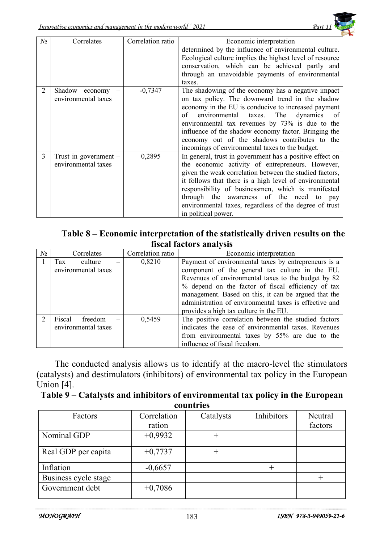

| No | Correlates                                     | Correlation ratio | Economic interpretation                                                                                                                                                                                                                                                                                                                                                                                                               |  |
|----|------------------------------------------------|-------------------|---------------------------------------------------------------------------------------------------------------------------------------------------------------------------------------------------------------------------------------------------------------------------------------------------------------------------------------------------------------------------------------------------------------------------------------|--|
|    |                                                |                   | determined by the influence of environmental culture.<br>Ecological culture implies the highest level of resource<br>conservation, which can be achieved partly and<br>through an unavoidable payments of environmental<br>taxes.                                                                                                                                                                                                     |  |
| 2  | Shadow economy<br>environmental taxes          | $-0,7347$         | The shadowing of the economy has a negative impact<br>on tax policy. The downward trend in the shadow<br>economy in the EU is conducive to increased payment<br>environmental<br>The<br>dynamics<br>of<br>taxes.<br>of<br>environmental tax revenues by 73% is due to the<br>influence of the shadow economy factor. Bringing the<br>economy out of the shadows contributes to the<br>incomings of environmental taxes to the budget. |  |
| 3  | Trust in government $-$<br>environmental taxes | 0,2895            | In general, trust in government has a positive effect on<br>the economic activity of entrepreneurs. However,<br>given the weak correlation between the studied factors,<br>it follows that there is a high level of environmental<br>responsibility of businessmen, which is manifested<br>through the awareness of the need to pay<br>environmental taxes, regardless of the degree of trust<br>in political power.                  |  |

## **Table 8 – Economic interpretation of the statistically driven results on the fiscal factors analysis**

| $N_2$ | Correlates          | Correlation ratio | Economic interpretation                                |  |
|-------|---------------------|-------------------|--------------------------------------------------------|--|
|       | Tax<br>culture      | 0,8210            | Payment of environmental taxes by entrepreneurs is a   |  |
|       | environmental taxes |                   | component of the general tax culture in the EU.        |  |
|       |                     |                   | Revenues of environmental taxes to the budget by 82    |  |
|       |                     |                   | % depend on the factor of fiscal efficiency of tax     |  |
|       |                     |                   | management. Based on this, it can be argued that the   |  |
|       |                     |                   | administration of environmental taxes is effective and |  |
|       |                     |                   | provides a high tax culture in the EU.                 |  |
|       | Fiscal<br>freedom   | 0,5459            | The positive correlation between the studied factors   |  |
|       | environmental taxes |                   | indicates the ease of environmental taxes. Revenues    |  |
|       |                     |                   | from environmental taxes by 55% are due to the         |  |
|       |                     |                   | influence of fiscal freedom.                           |  |

The conducted analysis allows us to identify at the macro-level the stimulators (catalysts) and destimulators (inhibitors) of environmental tax policy in the European Union [4].

#### **Table 9 – Catalysts and inhibitors of environmental tax policy in the European countries**

| Factors              | Correlation | Catalysts | Inhibitors | Neutral |
|----------------------|-------------|-----------|------------|---------|
|                      | ration      |           |            | factors |
| Nominal GDP          | $+0,9932$   |           |            |         |
| Real GDP per capita  | $+0,7737$   |           |            |         |
| Inflation            | $-0,6657$   |           |            |         |
| Business cycle stage |             |           |            |         |
| Government debt      | $+0,7086$   |           |            |         |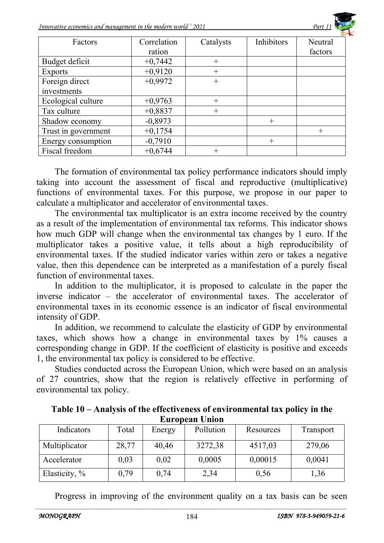*Innovative economics and management in the modern world*  $\lq$  <sup>2021</sup> Part 1



| Factors             | Correlation | Catalysts | Inhibitors | Neutral |
|---------------------|-------------|-----------|------------|---------|
|                     | ration      |           |            | factors |
| Budget deficit      | $+0,7442$   | $^{+}$    |            |         |
| <b>Exports</b>      | $+0,9120$   | $^{+}$    |            |         |
| Foreign direct      | $+0,9972$   | $^{+}$    |            |         |
| investments         |             |           |            |         |
| Ecological culture  | $+0,9763$   | $^{+}$    |            |         |
| Tax culture         | $+0,8837$   | $^{+}$    |            |         |
| Shadow economy      | $-0,8973$   |           | $^{+}$     |         |
| Trust in government | $+0,1754$   |           |            | $^{+}$  |
| Energy consumption  | $-0,7910$   |           | $^{+}$     |         |
| Fiscal freedom      | $+0.6744$   |           |            |         |

The formation of environmental tax policy performance indicators should imply taking into account the assessment of fiscal and reproductive (multiplicative) functions of environmental taxes. For this purpose, we propose in our paper to calculate a multiplicator and accelerator of environmental taxes.

The environmental tax multiplicator is an extra income received by the country as a result of the implementation of environmental tax reforms. This indicator shows how much GDP will change when the environmental tax changes by 1 euro. If the multiplicator takes a positive value, it tells about a high reproducibility of environmental taxes. If the studied indicator varies within zero or takes a negative value, then this dependence can be interpreted as a manifestation of a purely fiscal function of environmental taxes.

In addition to the multiplicator, it is proposed to calculate in the paper the inverse indicator – the accelerator of environmental taxes. The accelerator of environmental taxes in its economic essence is an indicator of fiscal environmental intensity of GDP.

In addition, we recommend to calculate the elasticity of GDP by environmental taxes, which shows how a change in environmental taxes by 1% causes a corresponding change in GDP. If the coefficient of elasticity is positive and exceeds 1, the environmental tax policy is considered to be effective.

Studies conducted across the European Union, which were based on an analysis of 27 countries, show that the region is relatively effective in performing of environmental tax policy.

| L'UI OPEAN UNION |       |        |           |           |           |
|------------------|-------|--------|-----------|-----------|-----------|
| Indicators       | Total | Energy | Pollution | Resources | Transport |
| Multiplicator    | 28,77 | 40,46  | 3272,38   | 4517,03   | 279,06    |
| Accelerator      | 0,03  | 0,02   | 0,0005    | 0,00015   | 0,0041    |
| Elasticity, %    | 0,79  | 0,74   | 2,34      | 0,56      | 1,36      |

**Table 10 – Analysis of the effectiveness of environmental tax policy in the European Union** 

Progress in improving of the environment quality on a tax basis can be seen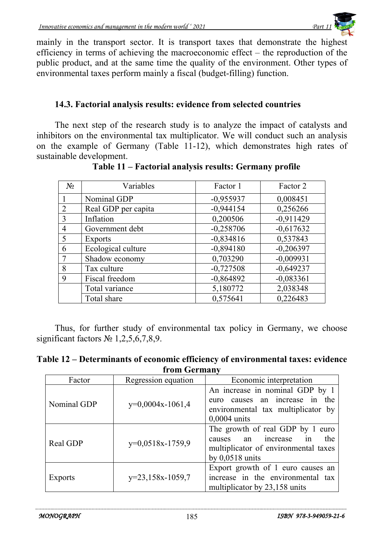mainly in the transport sector. It is transport taxes that demonstrate the highest efficiency in terms of achieving the macroeconomic effect – the reproduction of the public product, and at the same time the quality of the environment. Other types of environmental taxes perform mainly a fiscal (budget-filling) function.

#### **14.3. Factorial analysis results: evidence from selected countries**

The next step of the research study is to analyze the impact of catalysts and inhibitors on the environmental tax multiplicator. We will conduct such an analysis on the example of Germany (Table 11-12), which demonstrates high rates of sustainable development.

| $N_2$          | Variables           | Factor 1    | Factor 2    |
|----------------|---------------------|-------------|-------------|
|                | Nominal GDP         | $-0,955937$ | 0,008451    |
| $\overline{2}$ | Real GDP per capita | $-0,944154$ | 0,256266    |
| 3              | Inflation           | 0,200506    | $-0,911429$ |
| 4              | Government debt     | $-0,258706$ | $-0,617632$ |
| 5              | Exports             | $-0,834816$ | 0,537843    |
| 6              | Ecological culture  | $-0,894180$ | $-0,206397$ |
|                | Shadow economy      | 0,703290    | $-0,009931$ |
| 8              | Tax culture         | $-0,727508$ | $-0,649237$ |
| 9              | Fiscal freedom      | $-0,864892$ | $-0,083361$ |
|                | Total variance      | 5,180772    | 2,038348    |
|                | Total share         | 0,575641    | 0,226483    |

**Table 11 – Factorial analysis results: Germany profile** 

Thus, for further study of environmental tax policy in Germany, we choose significant factors  $N<sub>2</sub>$  1,2,5,6,7,8,9.

| Table 12 – Determinants of economic efficiency of environmental taxes: evidence |  |
|---------------------------------------------------------------------------------|--|
| from Germany                                                                    |  |

| Factor      | Regression equation | Economic interpretation               |
|-------------|---------------------|---------------------------------------|
| Nominal GDP | $y=0,0004x-1061,4$  | An increase in nominal GDP by 1       |
|             |                     | euro causes an increase in<br>the     |
|             |                     | environmental tax multiplicator by    |
|             |                     | $0,0004$ units                        |
| Real GDP    | $y=0,0518x-1759,9$  | The growth of real GDP by 1 euro      |
|             |                     | increase<br>the<br>1n<br>causes<br>an |
|             |                     | multiplicator of environmental taxes  |
|             |                     | by $0,0518$ units                     |
| Exports     | y=23,158x-1059,7    | Export growth of 1 euro causes an     |
|             |                     | increase in the environmental tax     |
|             |                     | multiplicator by 23,158 units         |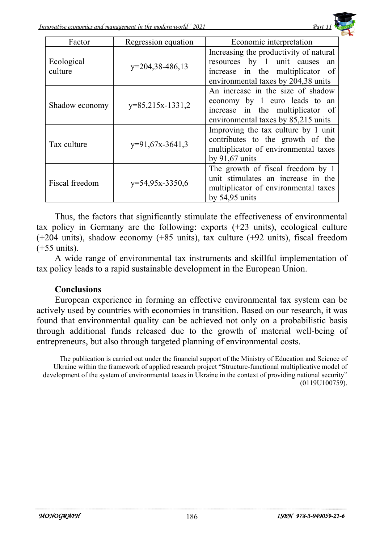

| Factor                | Regression equation | Economic interpretation                                                                                                                            |
|-----------------------|---------------------|----------------------------------------------------------------------------------------------------------------------------------------------------|
| Ecological<br>culture | $y=204,38-486,13$   | Increasing the productivity of natural<br>resources by 1 unit causes an<br>increase in the multiplicator of<br>environmental taxes by 204,38 units |
| Shadow economy        | $y=85,215x-1331,2$  | An increase in the size of shadow<br>economy by 1 euro leads to an<br>increase in the multiplicator of<br>environmental taxes by 85,215 units      |
| Tax culture           | $y=91,67x-3641,3$   | Improving the tax culture by 1 unit<br>contributes to the growth of the<br>multiplicator of environmental taxes<br>by $91,67$ units                |
| Fiscal freedom        | $y=54,95x-3350,6$   | The growth of fiscal freedom by 1<br>unit stimulates an increase in the<br>multiplicator of environmental taxes<br>by $54,95$ units                |

Thus, the factors that significantly stimulate the effectiveness of environmental tax policy in Germany are the following: exports (+23 units), ecological culture (+204 units), shadow economy (+85 units), tax culture (+92 units), fiscal freedom (+55 units).

A wide range of environmental tax instruments and skillful implementation of tax policy leads to a rapid sustainable development in the European Union.

#### **Conclusions**

European experience in forming an effective environmental tax system can be actively used by countries with economies in transition. Based on our research, it was found that environmental quality can be achieved not only on a probabilistic basis through additional funds released due to the growth of material well-being of entrepreneurs, but also through targeted planning of environmental costs.

The publication is carried out under the financial support of the Ministry of Education and Science of Ukraine within the framework of applied research project "Structure-functional multiplicative model of development of the system of environmental taxes in Ukraine in the context of providing national security" (0119U100759).